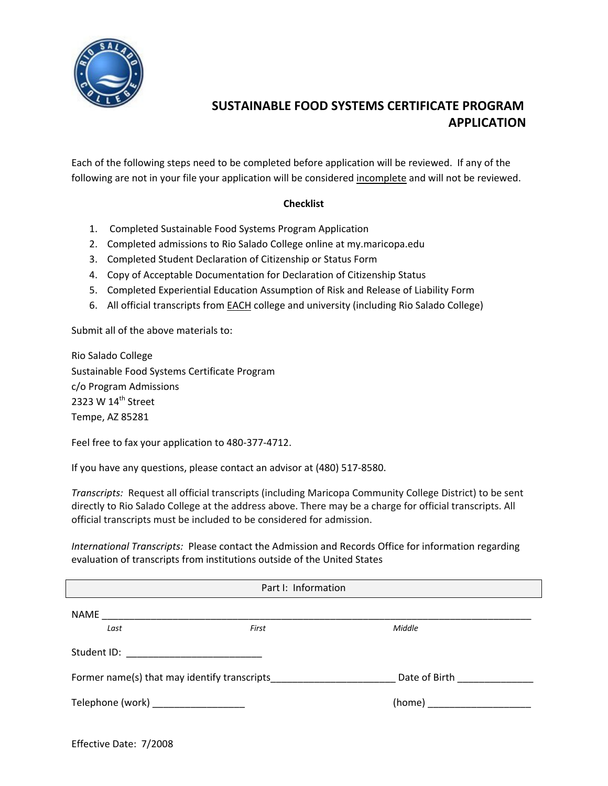

Each of the following steps need to be completed before application will be reviewed. If any of the following are not in your file your application will be considered incomplete and will not be reviewed.

#### **Checklist**

- 1. Completed Sustainable Food Systems Program Application
- 2. Completed admissions to Rio Salado College online at my.maricopa.edu
- 3. Completed Student Declaration of Citizenship or Status Form
- 4. Copy of Acceptable Documentation for Declaration of Citizenship Status
- 5. Completed Experiential Education Assumption of Risk and Release of Liability Form
- 6. All official transcripts from EACH college and university (including Rio Salado College)

Submit all of the above materials to:

Rio Salado College Sustainable Food Systems Certificate Program c/o Program Admissions 2323 W 14<sup>th</sup> Street Tempe, AZ 85281

Feel free to fax your application to 480‐377‐4712.

If you have any questions, please contact an advisor at (480) 517‐8580.

*Transcripts:* Request all official transcripts (including Maricopa Community College District) to be sent directly to Rio Salado College at the address above. There may be a charge for official transcripts. All official transcripts must be included to be considered for admission.

*International Transcripts:* Please contact the Admission and Records Office for information regarding evaluation of transcripts from institutions outside of the United States

| Part I: Information                          |       |                               |  |
|----------------------------------------------|-------|-------------------------------|--|
| NAME                                         |       |                               |  |
| Last                                         | First | Middle                        |  |
| Student ID: _____________________________    |       |                               |  |
| Former name(s) that may identify transcripts |       | Date of Birth _______________ |  |
| Telephone (work) _____________________       |       |                               |  |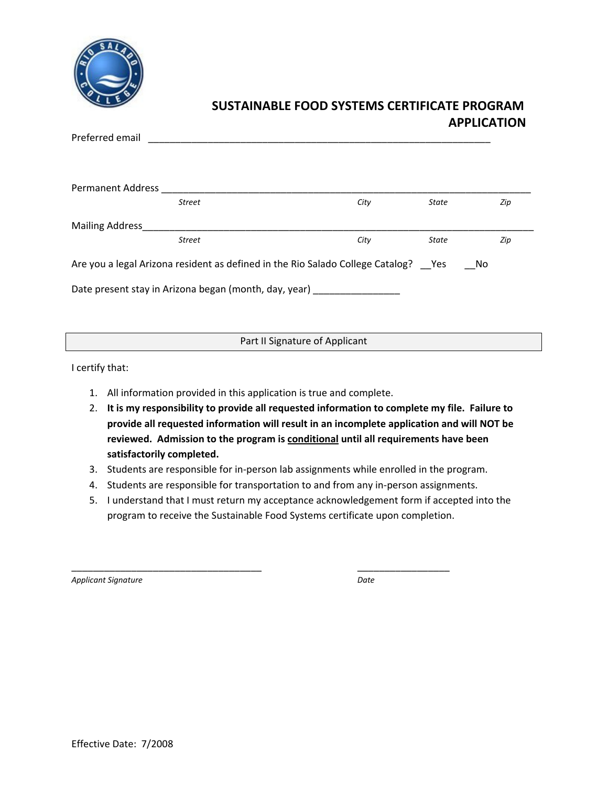

| Preferred email                                                                            |      |              |     |  |  |
|--------------------------------------------------------------------------------------------|------|--------------|-----|--|--|
|                                                                                            |      |              |     |  |  |
|                                                                                            |      |              |     |  |  |
| Permanent Address<br><b>Street</b>                                                         | City | State        | Zip |  |  |
|                                                                                            |      |              |     |  |  |
| <b>Mailing Address</b>                                                                     |      |              |     |  |  |
| <b>Street</b>                                                                              | City | <b>State</b> | Zip |  |  |
| Are you a legal Arizona resident as defined in the Rio Salado College Catalog? Yes<br>- No |      |              |     |  |  |
| Date present stay in Arizona began (month, day, year)                                      |      |              |     |  |  |
|                                                                                            |      |              |     |  |  |

Part II Signature of Applicant

I certify that:

- 1. All information provided in this application is true and complete.
- 2. **It is my responsibility to provide all requested information to complete my file. Failure to provide all requested information will result in an incomplete application and will NOT be reviewed. Admission to the program is conditional until all requirements have been satisfactorily completed.**
- 3. Students are responsible for in‐person lab assignments while enrolled in the program.
- 4. Students are responsible for transportation to and from any in‐person assignments.

\_\_\_\_\_\_\_\_\_\_\_\_\_\_\_\_\_\_\_\_\_\_\_\_\_\_\_\_\_\_\_\_\_\_\_ \_\_\_\_\_\_\_\_\_\_\_\_\_\_\_\_\_

5. I understand that I must return my acceptance acknowledgement form if accepted into the program to receive the Sustainable Food Systems certificate upon completion.

*Applicant Signature Date*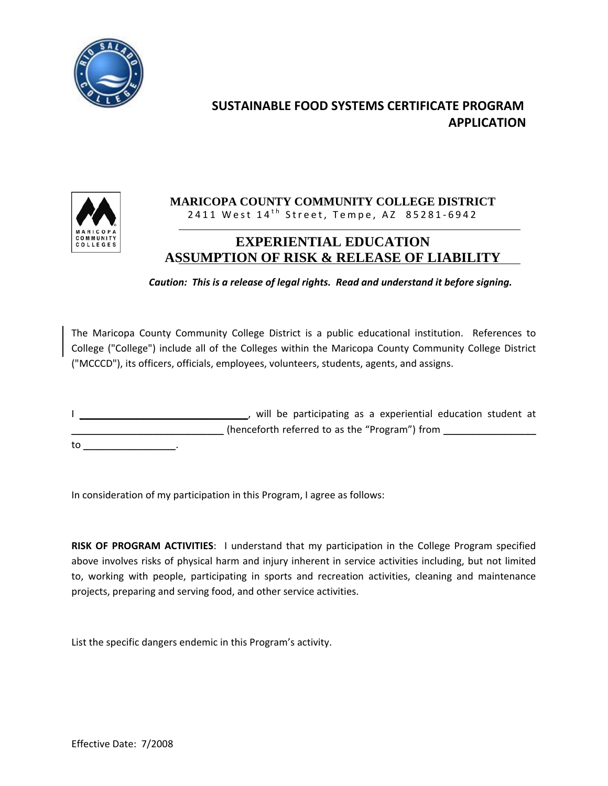



### **MARICOPA COUNTY COMMUNITY COLLEGE DISTRICT**  2411 West 14<sup>th</sup> Street, Tempe, AZ 85281-6942

### **EXPERIENTIAL EDUCATION ASSUMPTION OF RISK & RELEASE OF LIABILITY**

*Caution: This is a release of legal rights. Read and understand it before signing.*

The Maricopa County Community College District is a public educational institution. References to College ("College") include all of the Colleges within the Maricopa County Community College District ("MCCCD"), its officers, officials, employees, volunteers, students, agents, and assigns.

I \_\_\_\_\_\_\_\_\_\_\_\_\_\_\_\_\_\_\_\_\_\_\_\_\_\_\_\_\_\_\_\_, will be participating as a experiential education student at \_\_\_\_\_\_\_\_\_\_\_\_\_\_\_\_\_\_\_\_\_\_\_\_\_\_\_\_\_(henceforth referred to as the "Program") from \_\_\_\_\_\_\_\_\_\_\_\_\_\_\_\_\_\_\_\_\_\_\_\_\_\_\_\_\_\_\_\_\_\_  $\mathsf{to} \qquad \qquad .$ 

In consideration of my participation in this Program, I agree as follows:

**RISK OF PROGRAM ACTIVITIES**: I understand that my participation in the College Program specified above involves risks of physical harm and injury inherent in service activities including, but not limited to, working with people, participating in sports and recreation activities, cleaning and maintenance projects, preparing and serving food, and other service activities.

List the specific dangers endemic in this Program's activity.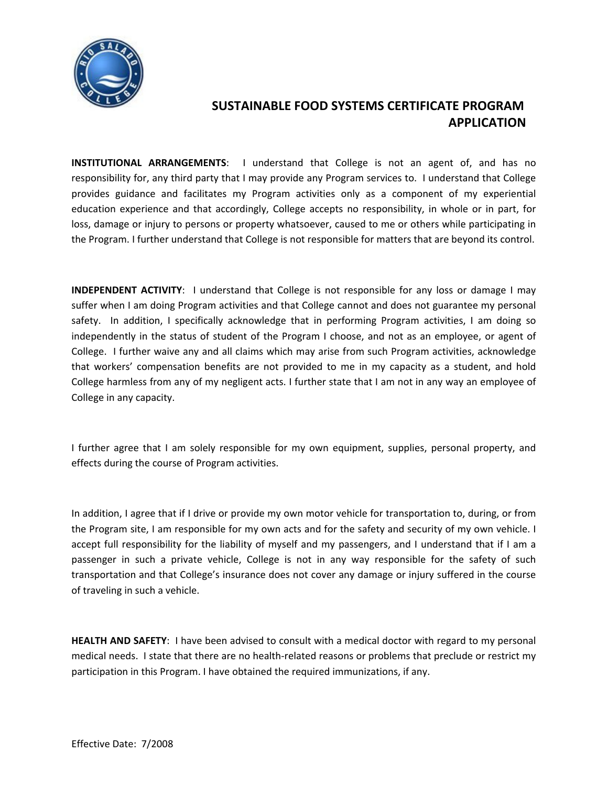

**INSTITUTIONAL ARRANGEMENTS**: I understand that College is not an agent of, and has no responsibility for, any third party that I may provide any Program services to. I understand that College provides guidance and facilitates my Program activities only as a component of my experiential education experience and that accordingly, College accepts no responsibility, in whole or in part, for loss, damage or injury to persons or property whatsoever, caused to me or others while participating in the Program. I further understand that College is not responsible for matters that are beyond its control.

**INDEPENDENT ACTIVITY**: I understand that College is not responsible for any loss or damage I may suffer when I am doing Program activities and that College cannot and does not guarantee my personal safety. In addition, I specifically acknowledge that in performing Program activities, I am doing so independently in the status of student of the Program I choose, and not as an employee, or agent of College. I further waive any and all claims which may arise from such Program activities, acknowledge that workers' compensation benefits are not provided to me in my capacity as a student, and hold College harmless from any of my negligent acts. I further state that I am not in any way an employee of College in any capacity.

I further agree that I am solely responsible for my own equipment, supplies, personal property, and effects during the course of Program activities.

In addition, I agree that if I drive or provide my own motor vehicle for transportation to, during, or from the Program site, I am responsible for my own acts and for the safety and security of my own vehicle. I accept full responsibility for the liability of myself and my passengers, and I understand that if I am a passenger in such a private vehicle, College is not in any way responsible for the safety of such transportation and that College's insurance does not cover any damage or injury suffered in the course of traveling in such a vehicle.

**HEALTH AND SAFETY**: I have been advised to consult with a medical doctor with regard to my personal medical needs. I state that there are no health-related reasons or problems that preclude or restrict my participation in this Program. I have obtained the required immunizations, if any.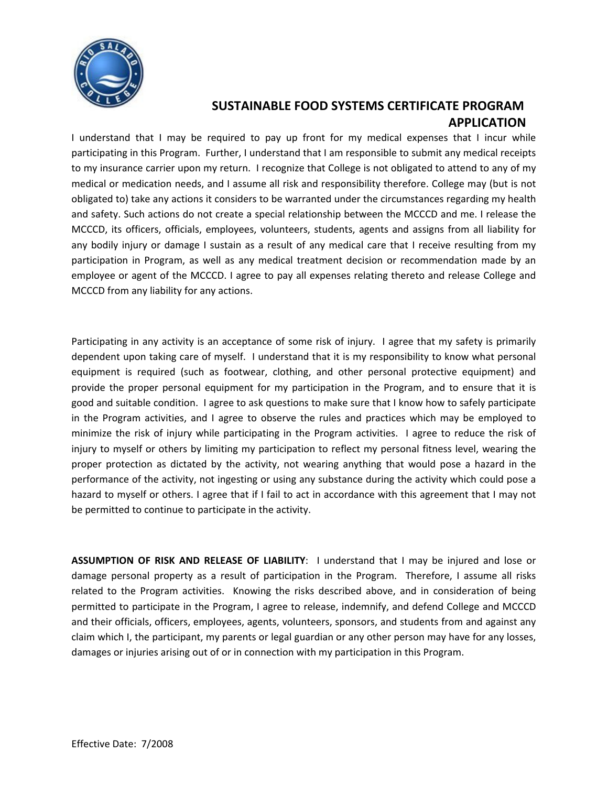

I understand that I may be required to pay up front for my medical expenses that I incur while participating in this Program. Further, I understand that I am responsible to submit any medical receipts to my insurance carrier upon my return. I recognize that College is not obligated to attend to any of my medical or medication needs, and I assume all risk and responsibility therefore. College may (but is not obligated to) take any actions it considers to be warranted under the circumstances regarding my health and safety. Such actions do not create a special relationship between the MCCCD and me. I release the MCCCD, its officers, officials, employees, volunteers, students, agents and assigns from all liability for any bodily injury or damage I sustain as a result of any medical care that I receive resulting from my participation in Program, as well as any medical treatment decision or recommendation made by an employee or agent of the MCCCD. I agree to pay all expenses relating thereto and release College and MCCCD from any liability for any actions.

Participating in any activity is an acceptance of some risk of injury. I agree that my safety is primarily dependent upon taking care of myself. I understand that it is my responsibility to know what personal equipment is required (such as footwear, clothing, and other personal protective equipment) and provide the proper personal equipment for my participation in the Program, and to ensure that it is good and suitable condition. I agree to ask questions to make sure that I know how to safely participate in the Program activities, and I agree to observe the rules and practices which may be employed to minimize the risk of injury while participating in the Program activities. I agree to reduce the risk of injury to myself or others by limiting my participation to reflect my personal fitness level, wearing the proper protection as dictated by the activity, not wearing anything that would pose a hazard in the performance of the activity, not ingesting or using any substance during the activity which could pose a hazard to myself or others. I agree that if I fail to act in accordance with this agreement that I may not be permitted to continue to participate in the activity.

**ASSUMPTION OF RISK AND RELEASE OF LIABILITY**: I understand that I may be injured and lose or damage personal property as a result of participation in the Program. Therefore, I assume all risks related to the Program activities. Knowing the risks described above, and in consideration of being permitted to participate in the Program, I agree to release, indemnify, and defend College and MCCCD and their officials, officers, employees, agents, volunteers, sponsors, and students from and against any claim which I, the participant, my parents or legal guardian or any other person may have for any losses, damages or injuries arising out of or in connection with my participation in this Program.